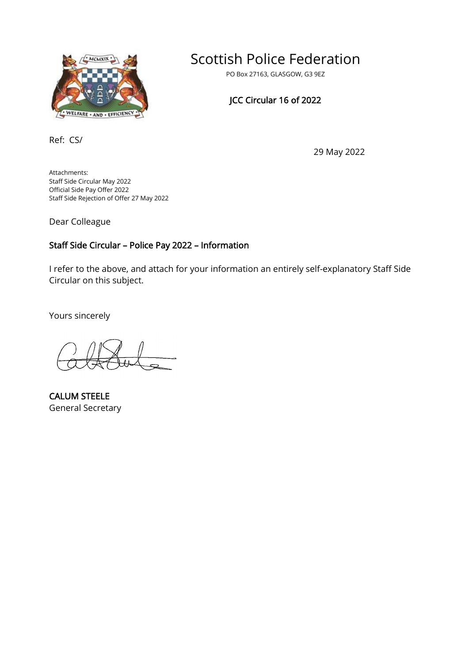

# Scottish Police Federation

PO Box 27163, GLASGOW, G3 9EZ

## JCC Circular 16 of 2022

Ref: CS/

29 May 2022

Attachments: Staff Side Circular May 2022 Official Side Pay Offer 2022 Staff Side Rejection of Offer 27 May 2022

Dear Colleague

## Staff Side Circular – Police Pay 2022 – Information

I refer to the above, and attach for your information an entirely self-explanatory Staff Side Circular on this subject.

Yours sincerely

CALUM STEELE General Secretary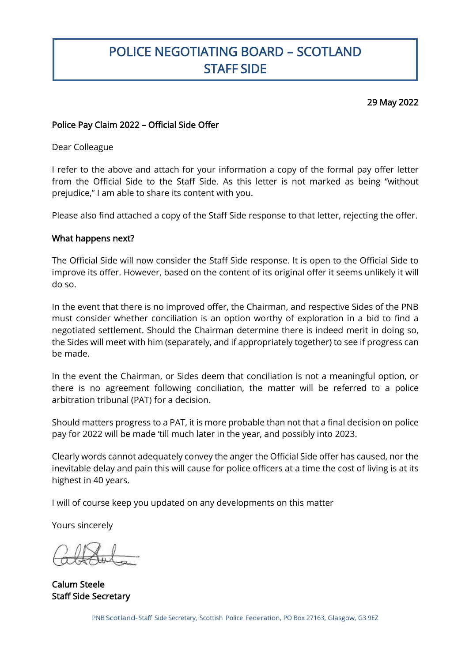# POLICE NEGOTIATING BOARD – SCOTLAND STAFF SIDE

### 29 May 2022

### Police Pay Claim 2022 – Official Side Offer

Dear Colleague

I

I refer to the above and attach for your information a copy of the formal pay offer letter from the Official Side to the Staff Side. As this letter is not marked as being "without prejudice," I am able to share its content with you.

Please also find attached a copy of the Staff Side response to that letter, rejecting the offer.

#### What happens next?

The Official Side will now consider the Staff Side response. It is open to the Official Side to improve its offer. However, based on the content of its original offer it seems unlikely it will do so.

In the event that there is no improved offer, the Chairman, and respective Sides of the PNB must consider whether conciliation is an option worthy of exploration in a bid to find a negotiated settlement. Should the Chairman determine there is indeed merit in doing so, the Sides will meet with him (separately, and if appropriately together) to see if progress can be made.

In the event the Chairman, or Sides deem that conciliation is not a meaningful option, or there is no agreement following conciliation, the matter will be referred to a police arbitration tribunal (PAT) for a decision.

Should matters progress to a PAT, it is more probable than not that a final decision on police pay for 2022 will be made 'till much later in the year, and possibly into 2023.

Clearly words cannot adequately convey the anger the Official Side offer has caused, nor the inevitable delay and pain this will cause for police officers at a time the cost of living is at its highest in 40 years.

I will of course keep you updated on any developments on this matter

Yours sincerely

Calum Steele Staff Side Secretary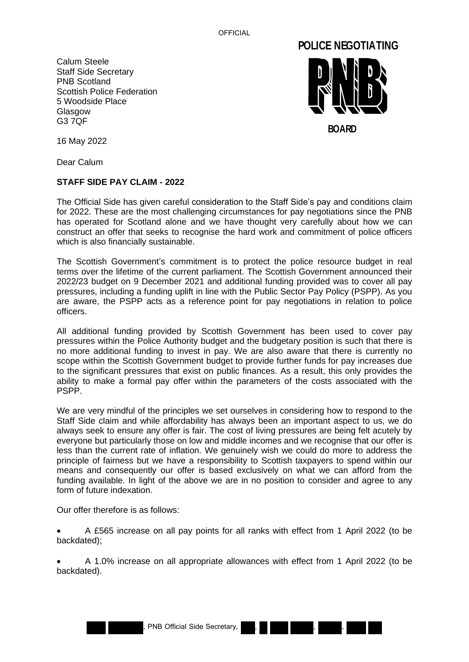OFFICIAL

Calum Steele Staff Side Secretary PNB Scotland Scottish Police Federation 5 Woodside Place Glasgow G3 7QF



16 May 2022

Dear Calum

#### **STAFF SIDE PAY CLAIM - 2022**

The Official Side has given careful consideration to the Staff Side's pay and conditions claim for 2022. These are the most challenging circumstances for pay negotiations since the PNB has operated for Scotland alone and we have thought very carefully about how we can construct an offer that seeks to recognise the hard work and commitment of police officers which is also financially sustainable.

The Scottish Government's commitment is to protect the police resource budget in real terms over the lifetime of the current parliament. The Scottish Government announced their 2022/23 budget on 9 December 2021 and additional funding provided was to cover all pay pressures, including a funding uplift in line with the Public Sector Pay Policy (PSPP). As you are aware, the PSPP acts as a reference point for pay negotiations in relation to police officers.

All additional funding provided by Scottish Government has been used to cover pay pressures within the Police Authority budget and the budgetary position is such that there is no more additional funding to invest in pay. We are also aware that there is currently no scope within the Scottish Government budget to provide further funds for pay increases due to the significant pressures that exist on public finances. As a result, this only provides the ability to make a formal pay offer within the parameters of the costs associated with the PSPP.

We are very mindful of the principles we set ourselves in considering how to respond to the Staff Side claim and while affordability has always been an important aspect to us, we do always seek to ensure any offer is fair. The cost of living pressures are being felt acutely by everyone but particularly those on low and middle incomes and we recognise that our offer is less than the current rate of inflation. We genuinely wish we could do more to address the principle of fairness but we have a responsibility to Scottish taxpayers to spend within our means and consequently our offer is based exclusively on what we can afford from the funding available. In light of the above we are in no position to consider and agree to any form of future indexation.

Our offer therefore is as follows:

• A £565 increase on all pay points for all ranks with effect from 1 April 2022 (to be backdated);

• A 1.0% increase on all appropriate allowances with effect from 1 April 2022 (to be backdated).

, PNB Official Side Secretary, , , ,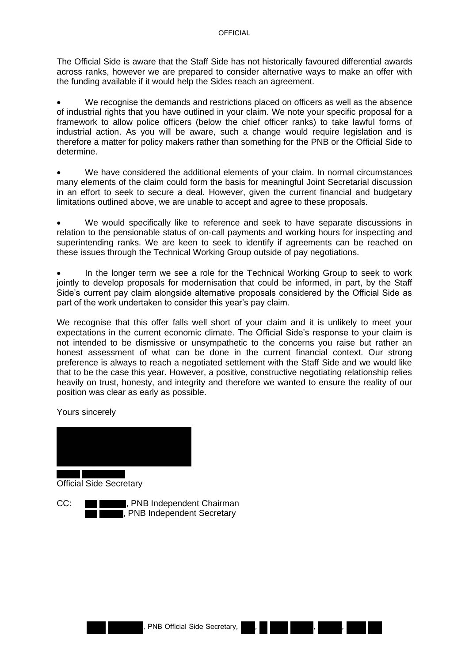The Official Side is aware that the Staff Side has not historically favoured differential awards across ranks, however we are prepared to consider alternative ways to make an offer with the funding available if it would help the Sides reach an agreement.

We recognise the demands and restrictions placed on officers as well as the absence of industrial rights that you have outlined in your claim. We note your specific proposal for a framework to allow police officers (below the chief officer ranks) to take lawful forms of industrial action. As you will be aware, such a change would require legislation and is therefore a matter for policy makers rather than something for the PNB or the Official Side to determine.

• We have considered the additional elements of your claim. In normal circumstances many elements of the claim could form the basis for meaningful Joint Secretarial discussion in an effort to seek to secure a deal. However, given the current financial and budgetary limitations outlined above, we are unable to accept and agree to these proposals.

• We would specifically like to reference and seek to have separate discussions in relation to the pensionable status of on-call payments and working hours for inspecting and superintending ranks. We are keen to seek to identify if agreements can be reached on these issues through the Technical Working Group outside of pay negotiations.

• In the longer term we see a role for the Technical Working Group to seek to work jointly to develop proposals for modernisation that could be informed, in part, by the Staff Side's current pay claim alongside alternative proposals considered by the Official Side as part of the work undertaken to consider this year's pay claim.

We recognise that this offer falls well short of your claim and it is unlikely to meet your expectations in the current economic climate. The Official Side's response to your claim is not intended to be dismissive or unsympathetic to the concerns you raise but rather an honest assessment of what can be done in the current financial context. Our strong preference is always to reach a negotiated settlement with the Staff Side and we would like that to be the case this year. However, a positive, constructive negotiating relationship relies heavily on trust, honesty, and integrity and therefore we wanted to ensure the reality of our position was clear as early as possible.

Yours sincerely



Official Side Secretary

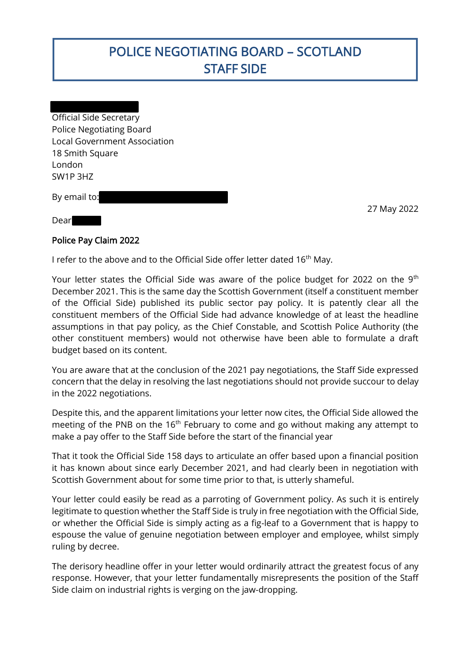# POLICE NEGOTIATING BOARD – SCOTLAND STAFF SIDE

Official Side Secretary Police Negotiating Board Local Government Association 18 Smith Square London SW1P 3HZ

By email to:

27 May 2022

#### Dear

I

### Police Pay Claim 2022

I refer to the above and to the Official Side offer letter dated  $16<sup>th</sup>$  May.

Your letter states the Official Side was aware of the police budget for 2022 on the  $9<sup>th</sup>$ December 2021. This is the same day the Scottish Government (itself a constituent member of the Official Side) published its public sector pay policy. It is patently clear all the constituent members of the Official Side had advance knowledge of at least the headline assumptions in that pay policy, as the Chief Constable, and Scottish Police Authority (the other constituent members) would not otherwise have been able to formulate a draft budget based on its content.

You are aware that at the conclusion of the 2021 pay negotiations, the Staff Side expressed concern that the delay in resolving the last negotiations should not provide succour to delay in the 2022 negotiations.

Despite this, and the apparent limitations your letter now cites, the Official Side allowed the meeting of the PNB on the  $16<sup>th</sup>$  February to come and go without making any attempt to make a pay offer to the Staff Side before the start of the financial year

That it took the Official Side 158 days to articulate an offer based upon a financial position it has known about since early December 2021, and had clearly been in negotiation with Scottish Government about for some time prior to that, is utterly shameful.

Your letter could easily be read as a parroting of Government policy. As such it is entirely legitimate to question whether the Staff Side is truly in free negotiation with the Official Side, or whether the Official Side is simply acting as a fig-leaf to a Government that is happy to espouse the value of genuine negotiation between employer and employee, whilst simply ruling by decree.

The derisory headline offer in your letter would ordinarily attract the greatest focus of any response. However, that your letter fundamentally misrepresents the position of the Staff Side claim on industrial rights is verging on the jaw-dropping.